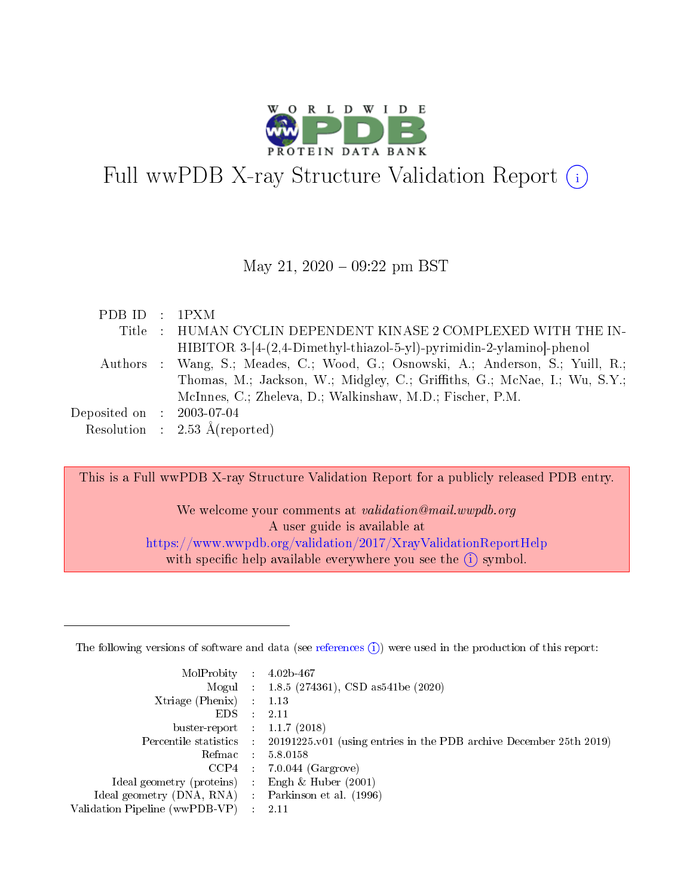

# Full wwPDB X-ray Structure Validation Report (i)

#### May 21,  $2020 - 09:22$  pm BST

| PDBID : 1PXM                |                                                                                  |
|-----------------------------|----------------------------------------------------------------------------------|
|                             | Title : HUMAN CYCLIN DEPENDENT KINASE 2 COMPLEXED WITH THE IN-                   |
|                             | HIBITOR 3-[4-(2,4-Dimethyl-thiazol-5-yl)-pyrimidin-2-ylamino]-phenol             |
|                             | Authors : Wang, S.; Meades, C.; Wood, G.; Osnowski, A.; Anderson, S.; Yuill, R.; |
|                             | Thomas, M.; Jackson, W.; Midgley, C.; Griffiths, G.; McNae, I.; Wu, S.Y.;        |
|                             | McInnes, C.; Zheleva, D.; Walkinshaw, M.D.; Fischer, P.M.                        |
| Deposited on : $2003-07-04$ |                                                                                  |
|                             | Resolution : $2.53 \text{ Å}$ (reported)                                         |

This is a Full wwPDB X-ray Structure Validation Report for a publicly released PDB entry.

We welcome your comments at *validation@mail.wwpdb.org* A user guide is available at <https://www.wwpdb.org/validation/2017/XrayValidationReportHelp> with specific help available everywhere you see the  $(i)$  symbol.

The following versions of software and data (see [references](https://www.wwpdb.org/validation/2017/XrayValidationReportHelp#references)  $(1)$ ) were used in the production of this report:

| MolProbity :                   |               | $4.02b - 467$                                                               |
|--------------------------------|---------------|-----------------------------------------------------------------------------|
|                                |               | Mogul : $1.8.5$ (274361), CSD as 541be (2020)                               |
| Xtriage (Phenix)               | $\mathcal{L}$ | 1.13                                                                        |
| EDS.                           |               | 2.11                                                                        |
| buster-report : $1.1.7$ (2018) |               |                                                                             |
| Percentile statistics :        |               | $20191225 \text{v}01$ (using entries in the PDB archive December 25th 2019) |
| Refmac :                       |               | 5.8.0158                                                                    |
| CCP4                           |               | $7.0.044$ (Gargrove)                                                        |
| Ideal geometry (proteins) :    |               | Engh $\&$ Huber (2001)                                                      |
| Ideal geometry (DNA, RNA) :    |               | Parkinson et al. (1996)                                                     |
| Validation Pipeline (wwPDB-VP) | ÷             | 2.11                                                                        |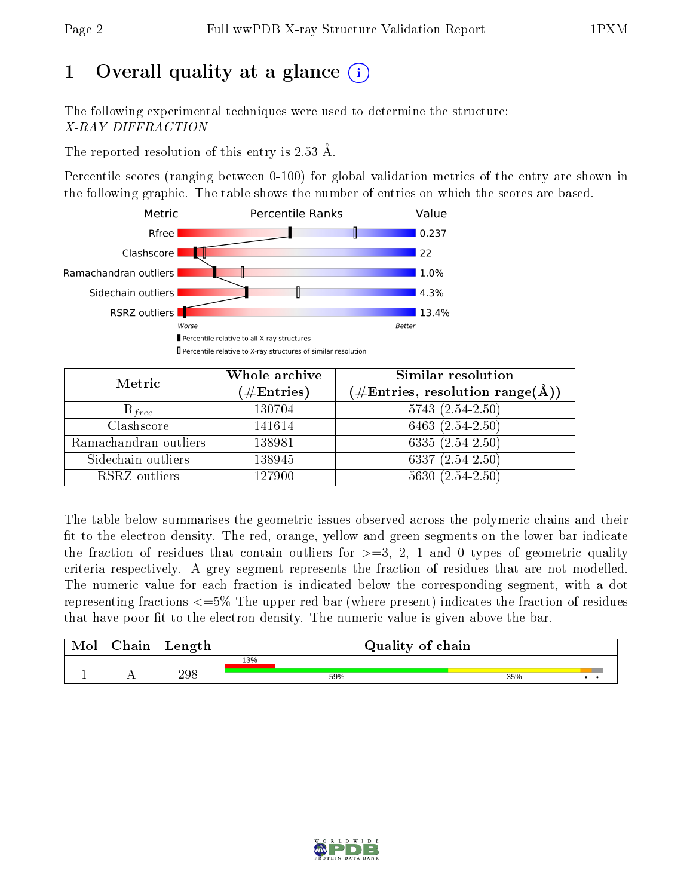## 1 [O](https://www.wwpdb.org/validation/2017/XrayValidationReportHelp#overall_quality)verall quality at a glance  $(i)$

The following experimental techniques were used to determine the structure: X-RAY DIFFRACTION

The reported resolution of this entry is 2.53 Å.

Percentile scores (ranging between 0-100) for global validation metrics of the entry are shown in the following graphic. The table shows the number of entries on which the scores are based.



| Metric                | Whole archive<br>$(\#\text{Entries})$ | Similar resolution<br>$(\#\text{Entries}, \text{resolution range}(\text{\AA}))$ |  |  |
|-----------------------|---------------------------------------|---------------------------------------------------------------------------------|--|--|
| $R_{free}$            | 130704                                | $5743(2.54-2.50)$                                                               |  |  |
| Clashscore            | 141614                                | 6463 $(2.54-2.50)$                                                              |  |  |
| Ramachandran outliers | 138981                                | 6335 $(2.54 - 2.50)$                                                            |  |  |
| Sidechain outliers    | 138945                                | $6337(2.54-2.50)$                                                               |  |  |
| RSRZ outliers         | 127900                                | $5630(2.54-2.50)$                                                               |  |  |

The table below summarises the geometric issues observed across the polymeric chains and their fit to the electron density. The red, orange, yellow and green segments on the lower bar indicate the fraction of residues that contain outliers for  $>=3, 2, 1$  and 0 types of geometric quality criteria respectively. A grey segment represents the fraction of residues that are not modelled. The numeric value for each fraction is indicated below the corresponding segment, with a dot representing fractions  $\epsilon=5\%$  The upper red bar (where present) indicates the fraction of residues that have poor fit to the electron density. The numeric value is given above the bar.

| Mol | $\cap$ hain | Length |     | Quality of chain |     |  |
|-----|-------------|--------|-----|------------------|-----|--|
|     |             |        | 13% |                  |     |  |
|     |             | 298    |     | 59%              | 35% |  |

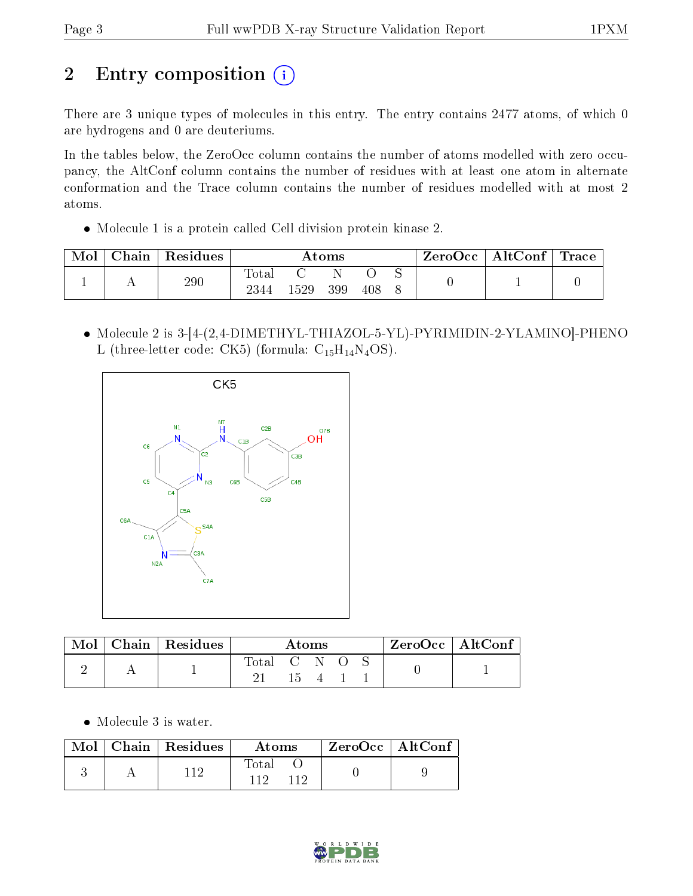# 2 Entry composition (i)

There are 3 unique types of molecules in this entry. The entry contains 2477 atoms, of which 0 are hydrogens and 0 are deuteriums.

In the tables below, the ZeroOcc column contains the number of atoms modelled with zero occupancy, the AltConf column contains the number of residues with at least one atom in alternate conformation and the Trace column contains the number of residues modelled with at most 2 atoms.

Molecule 1 is a protein called Cell division protein kinase 2.

| Mol | ${\rm Chain}$ | Residues | Atoms         |     |     |     | $\text{ZeroOcc} \mid \text{AltConf} \mid \text{Trace}$ |  |  |
|-----|---------------|----------|---------------|-----|-----|-----|--------------------------------------------------------|--|--|
|     |               | 290      | Total<br>2344 | 529 | 399 | 408 |                                                        |  |  |

 Molecule 2 is 3-[4-(2,4-DIMETHYL-THIAZOL-5-YL)-PYRIMIDIN-2-YLAMINO]-PHENO L (three-letter code: CK5) (formula:  $C_{15}H_{14}N_4OS$ ).



| Mol | $\mid$ Chain $\mid$ Residues | Atoms       |  |  | ZeroOcc   AltConf |  |  |
|-----|------------------------------|-------------|--|--|-------------------|--|--|
|     |                              | Total C N O |  |  |                   |  |  |

Molecule 3 is water.

|  | $\text{Mol}$   Chain   Residues | Atoms         | $ZeroOcc \   \ AltConf$ |  |
|--|---------------------------------|---------------|-------------------------|--|
|  | 11ດ                             | Total<br>11 ຕ |                         |  |

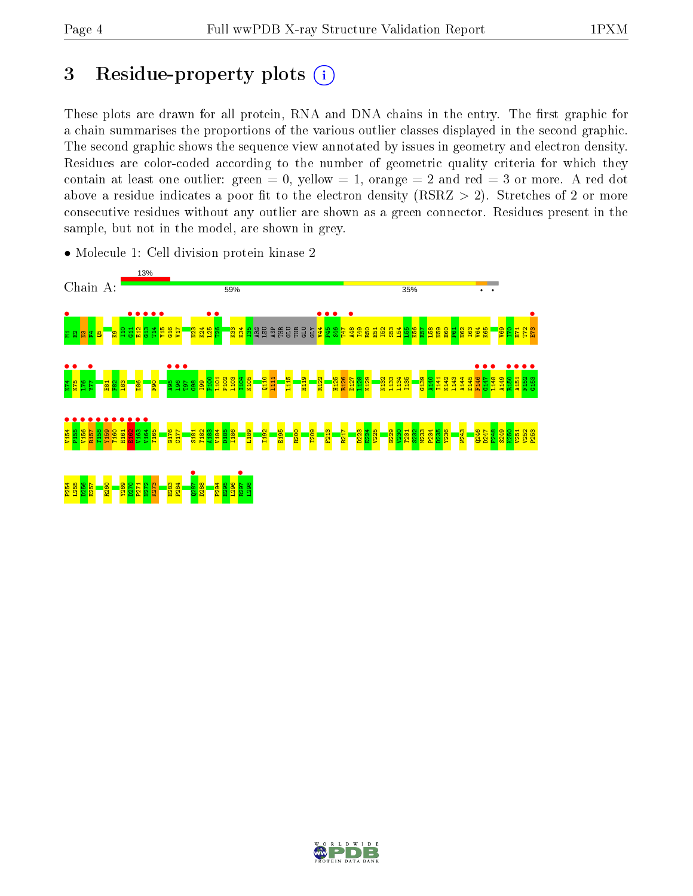## 3 Residue-property plots  $(i)$

These plots are drawn for all protein, RNA and DNA chains in the entry. The first graphic for a chain summarises the proportions of the various outlier classes displayed in the second graphic. The second graphic shows the sequence view annotated by issues in geometry and electron density. Residues are color-coded according to the number of geometric quality criteria for which they contain at least one outlier: green  $= 0$ , yellow  $= 1$ , orange  $= 2$  and red  $= 3$  or more. A red dot above a residue indicates a poor fit to the electron density (RSRZ  $> 2$ ). Stretches of 2 or more consecutive residues without any outlier are shown as a green connector. Residues present in the sample, but not in the model, are shown in grey.



• Molecule 1: Cell division protein kinase 2

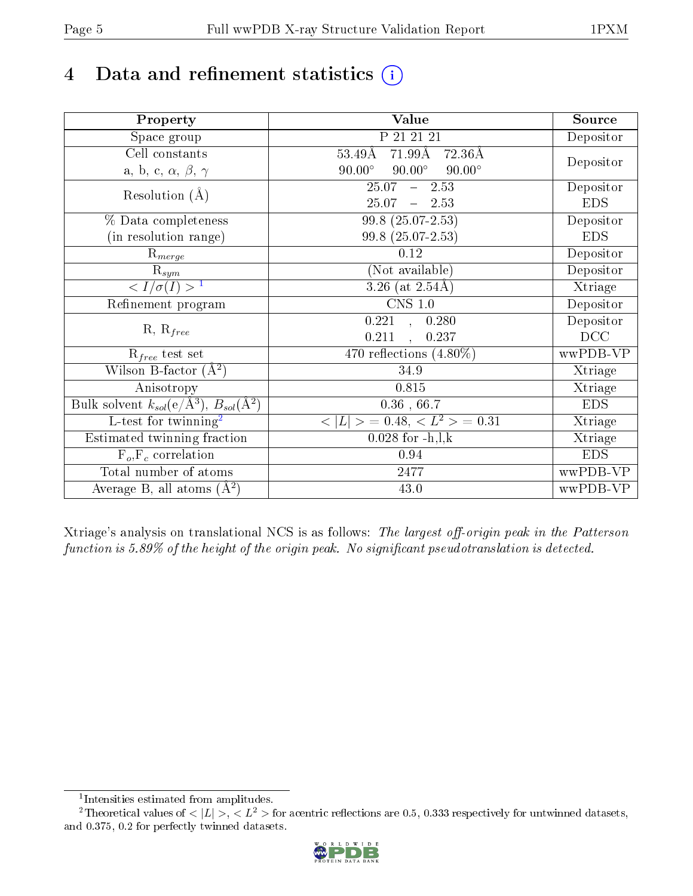# 4 Data and refinement statistics  $(i)$

| Property                                                             | Value                                            | Source     |
|----------------------------------------------------------------------|--------------------------------------------------|------------|
| Space group                                                          | P 21 21 21                                       | Depositor  |
| Cell constants                                                       | $71.99\text{\AA}$<br>$53.49\text{\AA}$<br>72.36Å |            |
| a, b, c, $\alpha$ , $\beta$ , $\gamma$                               | $90.00^\circ$<br>$90.00^\circ$<br>$90.00^\circ$  | Depositor  |
| Resolution $(A)$                                                     | 25.07<br>$-2.53$                                 | Depositor  |
|                                                                      | 25.07<br>$-2.53$                                 | <b>EDS</b> |
| % Data completeness                                                  | 99.8 (25.07-2.53)                                | Depositor  |
| (in resolution range)                                                | 99.8 (25.07-2.53)                                | <b>EDS</b> |
| $R_{merge}$                                                          | 0.12                                             | Depositor  |
| $\mathrm{R}_{sym}$                                                   | (Not available)                                  | Depositor  |
| $\sqrt{I/\sigma}(I) > 1$                                             | 3.26 (at $2.54\text{\AA}$ )                      | Xtriage    |
| Refinement program                                                   | $CNS$ 1.0                                        | Depositor  |
|                                                                      | 0.221, 0.280                                     | Depositor  |
| $R, R_{free}$                                                        | 0.211<br>0.237                                   | DCC        |
| $R_{free}$ test set                                                  | 470 reflections $(4.80\%)$                       | wwPDB-VP   |
| Wilson B-factor $(A^2)$                                              | 34.9                                             | Xtriage    |
| Anisotropy                                                           | 0.815                                            | Xtriage    |
| Bulk solvent $k_{sol}(e/\mathring{A}^3)$ , $B_{sol}(\mathring{A}^2)$ | $0.36$ , $66.7$                                  | <b>EDS</b> |
| L-test for twinning <sup>2</sup>                                     | $< L >$ = 0.48, $< L2$ = 0.31                    | Xtriage    |
| Estimated twinning fraction                                          | $0.028$ for $-h, l, k$                           | Xtriage    |
| $F_o, F_c$ correlation                                               | 0.94                                             | <b>EDS</b> |
| Total number of atoms                                                | 2477                                             | wwPDB-VP   |
| Average B, all atoms $(A^2)$                                         | 43.0                                             | wwPDB-VP   |

Xtriage's analysis on translational NCS is as follows: The largest off-origin peak in the Patterson function is  $5.89\%$  of the height of the origin peak. No significant pseudotranslation is detected.

<sup>&</sup>lt;sup>2</sup>Theoretical values of  $\langle |L| \rangle$ ,  $\langle L^2 \rangle$  for acentric reflections are 0.5, 0.333 respectively for untwinned datasets, and 0.375, 0.2 for perfectly twinned datasets.



<span id="page-4-1"></span><span id="page-4-0"></span><sup>1</sup> Intensities estimated from amplitudes.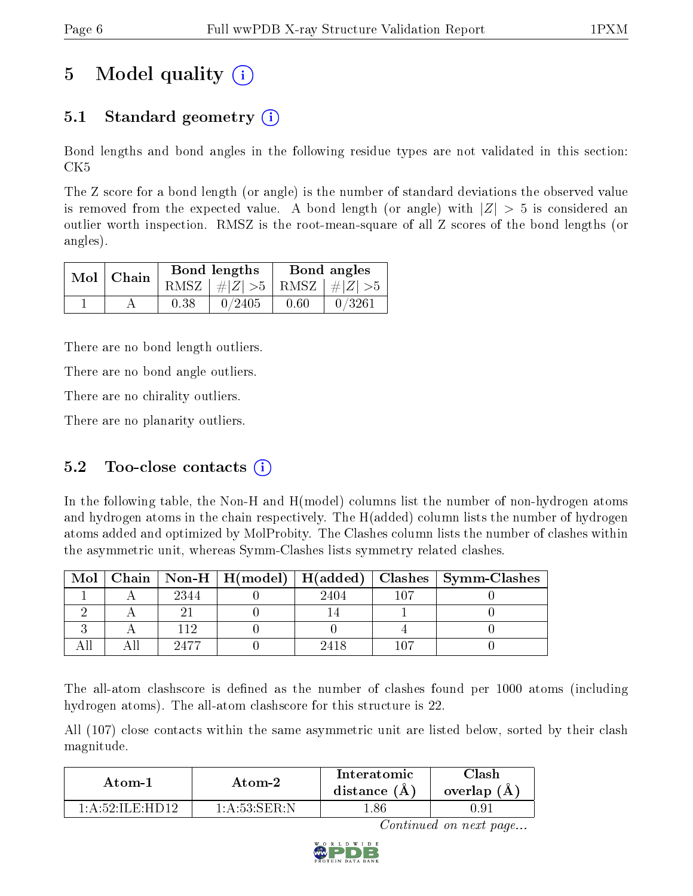# 5 Model quality  $(i)$

## 5.1 Standard geometry (i)

Bond lengths and bond angles in the following residue types are not validated in this section: CK5

The Z score for a bond length (or angle) is the number of standard deviations the observed value is removed from the expected value. A bond length (or angle) with  $|Z| > 5$  is considered an outlier worth inspection. RMSZ is the root-mean-square of all Z scores of the bond lengths (or angles).

|  | $Mol$   Chain |      | Bond lengths                    | Bond angles |        |  |
|--|---------------|------|---------------------------------|-------------|--------|--|
|  |               |      | RMSZ $ #Z  > 5$ RMSZ $ #Z  > 5$ |             |        |  |
|  |               | 0.38 | 0/2405                          | 0.60        | 0/3261 |  |

There are no bond length outliers.

There are no bond angle outliers.

There are no chirality outliers.

There are no planarity outliers.

### 5.2 Too-close contacts  $(i)$

In the following table, the Non-H and H(model) columns list the number of non-hydrogen atoms and hydrogen atoms in the chain respectively. The H(added) column lists the number of hydrogen atoms added and optimized by MolProbity. The Clashes column lists the number of clashes within the asymmetric unit, whereas Symm-Clashes lists symmetry related clashes.

| Mol |      |      | Chain   Non-H   H(model)   H(added)   Clashes   Symm-Clashes |
|-----|------|------|--------------------------------------------------------------|
|     | 2344 | 2404 |                                                              |
|     |      |      |                                                              |
|     | 119  |      |                                                              |
|     | 9477 | 9418 |                                                              |

The all-atom clashscore is defined as the number of clashes found per 1000 atoms (including hydrogen atoms). The all-atom clashscore for this structure is 22.

All (107) close contacts within the same asymmetric unit are listed below, sorted by their clash magnitude.

| Atom-1           | Atom-2            | Interatomic<br>distance $(A)$ | `llash<br>overlap (A) |
|------------------|-------------------|-------------------------------|-----------------------|
| 1 A 52 II F HD19 | 1 · A ·53 ·SER ·N |                               | U.YI                  |

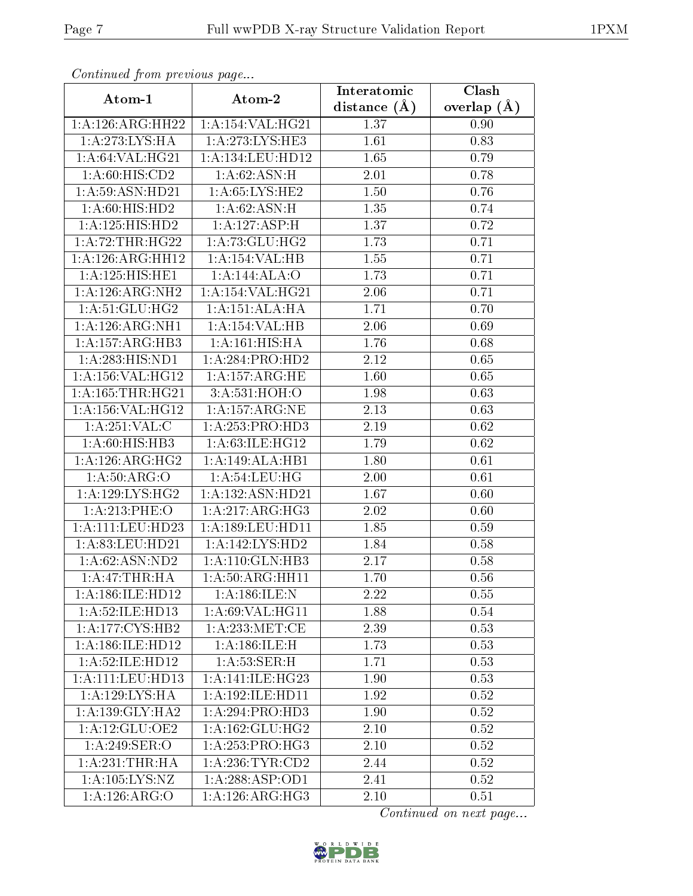| сонинией јтот ртеvиоиз раде          |                      | Interatomic       | Clash           |
|--------------------------------------|----------------------|-------------------|-----------------|
| Atom-1                               | Atom-2               | distance $(A)$    | overlap $(\AA)$ |
| 1:A:126:ARG:HH22                     | 1:A:154:VAL:HG21     | 1.37              | 0.90            |
| 1:A:273:LYS:HA                       | 1:A:273:LYS:HE3      | $\overline{1.61}$ | 0.83            |
| 1:A:64:VAL:HG21                      | 1: A: 134: LEU: HD12 | 1.65              | 0.79            |
| 1:A:60:HIS:CD2                       | 1: A:62: ASN:H       | 2.01              | 0.78            |
| 1: A:59: ASN: HD21                   | 1: A:65: LYS: HE2    | 1.50              | 0.76            |
| 1: A:60: HIS: HD2                    | 1: A:62: ASN:H       | 1.35              | 0.74            |
| 1:A:125:HIS:HD2                      | 1:A:127:ASP:H        | 1.37              | 0.72            |
| 1:A:72:THR:HG22                      | 1: A:73: GLU:HG2     | 1.73              | 0.71            |
| 1:A:126:ARG:HH12                     | 1:A:154:VAL:HB       | 1.55              | 0.71            |
| 1:A:125:HIS:HE1                      | 1:A:144:ALA:O        | 1.73              | 0.71            |
| 1:A:126:ARG:NH2                      | 1: A: 154: VAL: HG21 | 2.06              | 0.71            |
| 1: A:51: GLU: HG2                    | 1:A:151:ALA:HA       | 1.71              | 0.70            |
| 1:A:126:ARG:NH1                      | 1:A:154:VAL:HB       | 2.06              | 0.69            |
| $1:A:157: \overline{\text{ARG:HB3}}$ | 1:A:161:HIS:HA       | 1.76              | 0.68            |
| 1: A:283:HIS:ND1                     | 1:A:284:PRO:HD2      | 2.12              | 0.65            |
| 1: A: 156: VAL:HGI2                  | 1:A:157:ARG:HE       | 1.60              | 0.65            |
| 1:A:165:THR:HG21                     | 3:A:531:HOH:O        | 1.98              | 0.63            |
| 1: A: 156: VAL: HG12                 | 1: A: 157: ARG: NE   | 2.13              | 0.63            |
| $1:A:251:\overline{VAL}:C$           | 1: A: 253: PRO: HD3  | 2.19              | 0.62            |
| 1: A:60: HIS: HB3                    | 1: A:63: ILE: HG12   | 1.79              | 0.62            |
| 1:A:126:ARG:HG2                      | 1:A:149:ALA:HB1      | 1.80              | 0.61            |
| 1: A:50: ARG:O                       | 1: A:54:LEU:HG       | 2.00              | 0.61            |
| 1: A: 129: LYS: HG2                  | 1:A:132:ASN:HD21     | 1.67              | 0.60            |
| 1:A:213:PHE:O                        | 1: A:217: ARG:HG3    | 2.02              | 0.60            |
| 1:A:111:LEU:HD23                     | 1:A:189:LEU:HD11     | 1.85              | 0.59            |
| 1: A:83: LEU:HD21                    | 1: A: 142: LYS: HD2  | 1.84              | 0.58            |
| 1: A:62: ASN:ND2                     | 1: A:110: GLN:HB3    | 2.17              | 0.58            |
| 1: A:47:THR:HA                       | 1:A:50:ARG:HH11      | 1.70              | 0.56            |
| 1: A: 186: ILE: HD12                 | 1:A:186:ILE:N        | 2.22              | 0.55            |
| 1:A:52:ILE:HD13                      | 1: A:69: VAL:HGI1    | 1.88              | 0.54            |
| $1:A:177:CY\overline{S:HB2}$         | 1: A:233:MET:CE      | 2.39              | 0.53            |
| 1:A:186:ILE:HD12                     | 1:A:186:II.E:H       | 1.73              | 0.53            |
| 1: A:52: ILE: HD12                   | 1:A:53:SER:H         | 1.71              | 0.53            |
| 1: A: 111: LEU: HD13                 | 1:A:141:ILE:HG23     | 1.90              | 0.53            |
| 1:A:129:LYS:HA                       | 1:A:192:ILE:HD11     | 1.92              | 0.52            |
| 1: A: 139: GLY: HA2                  | 1:A:294:PRO:HD3      | 1.90              | 0.52            |
| 1:A:12:GLU:OE2                       | 1: A: 162: GLU: HG2  | 2.10              | 0.52            |
| 1:A:249:SER:O                        | 1: A: 253: PRO:HG3   | 2.10              | $0.52\,$        |
| 1: A:231:THR:HA                      | 1:A:236:TYR:CD2      | 2.44              | 0.52            |
| 1:A:105:LYS:NZ                       | 1:A:288:ASP:OD1      | 2.41              | 0.52            |
| 1:A:126:ARG:O                        | 1: A:126: ARG:HG3    | 2.10              | 0.51            |

Continued from previous page.

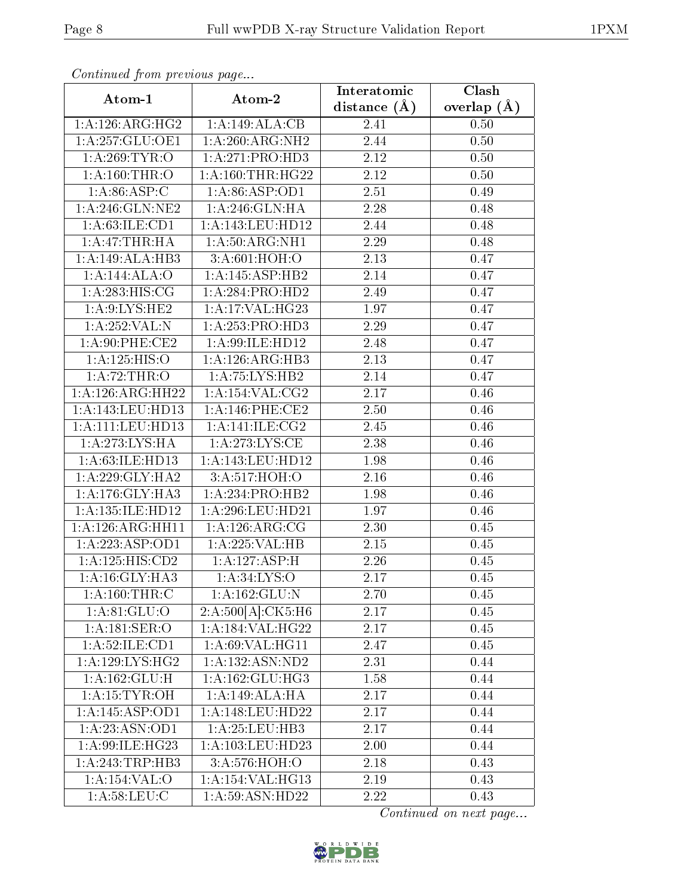| Continuea from previous page |                              | Interatomic       | Clash         |
|------------------------------|------------------------------|-------------------|---------------|
| Atom-1                       | Atom-2                       | distance $(A)$    | overlap $(A)$ |
| 1: A:126: ARG: HG2           | 1:A:149:ALA:CB               | 2.41              | 0.50          |
| 1: A:257: GLU:OE1            | 1:A:260:ARG:NH2              | 2.44              | 0.50          |
| 1: A:269:TYR:O               | 1:A:271:PRO:HD3              | $2.12\,$          | 0.50          |
| 1: A: 160: THR:O             | 1: A: 160: THR: HG22         | 2.12              | 0.50          |
| 1: A:86: ASP:C               | 1:A:86:ASP:OD1               | 2.51              | 0.49          |
| 1: A:246: GLN: NE2           | 1: A:246: GLN: HA            | 2.28              | 0.48          |
| 1: A:63:ILE:CD1              | 1:A:143:LEU:HD12             | 2.44              | 0.48          |
| 1:A:47:THR:HA                | 1: A:50: ARG: NH1            | 2.29              | 0.48          |
| 1:A:149:ALA:HB3              | 3:A:601:HOH:O                | $\overline{2}.13$ | 0.47          |
| 1:A:144:ALA:O                | 1:A:145:ASP:HB2              | 2.14              | 0.47          |
| 1: A:283: HIS: CG            | 1:A:284:PRO:HD2              | 2.49              | 0.47          |
| 1: A:9: LYS: HE2             | 1:A:17:VAL:H G23             | 1.97              | 0.47          |
| 1:A:252:VAL:N                | 1:A:253:PRO:HD3              | 2.29              | 0.47          |
| $1: A:90:$ PHE:CE2           | 1: A:99: ILE: HD12           | 2.48              | 0.47          |
| 1:A:125:HIS:O                | 1:A:126:ARG:HB3              | 2.13              | 0.47          |
| 1:A:72:THR:O                 | 1:A:75:LYS:HB2               | 2.14              | 0.47          |
| 1:A:126:ARG:HH22             | 1: A:154: VAL: CG2           | 2.17              | 0.46          |
| 1: A:143: LEU: HD13          | $1: A:146:$ PHE:CE2          | 2.50              | 0.46          |
| 1:A:111:LEU:HD13             | 1: A:141: ILE: CG2           | 2.45              | 0.46          |
| 1:A:273:LYS:HA               | 1: A:273: LYS: CE            | 2.38              | 0.46          |
| 1:A:63:ILE:HD13              | 1:A:143:LEU:HD12             | 1.98              | 0.46          |
| 1: A:229: GLY:HA2            | 3:A:517:HOH:O                | 2.16              | 0.46          |
| 1: A:176: GLY: HA3           | 1:A:234:PRO:HB2              | 1.98              | 0.46          |
| 1:A:135:ILE:HD12             | 1: A:296:LEU:HD21            | 1.97              | 0.46          |
| 1:A:126:ARG:HH11             | 1: A:126: ARG: CG            | 2.30              | 0.45          |
| 1:A:223:ASP:OD1              | 1:A:225:VAL:HB               | 2.15              | 0.45          |
| 1:A:125:HIS:CD2              | 1:A:127:ASP:H                | 2.26              | 0.45          |
| 1: A:16: GLY: HA3            | 1: A:34: LYS:O               | 2.17              | 0.45          |
| 1: A: 160: THR: C            | 1:A:162:GLU:N                | 2.70              | 0.45          |
| 1: A:81: GLU:O               | 2:A:500[A]:CK5:H6            | 2.17              | 0.45          |
| 1: A:181: SER:O              | 1:A:184:VAL:HG22             | 2.17              | 0.45          |
| 1:A:52:ILE:CD1               | 1: A:69:VAL:HG11             | 2.47              | 0.45          |
| 1: A: 129: LYS: HG2          | 1:A:132:ASN:ND2              | 2.31              | 0.44          |
| 1: A: 162: GLU: H            | 1:A:162:GLU:HG3              | 1.58              | 0.44          |
| 1:A:15:TYR:OH                | 1:A:149:ALA:HA               | 2.17              | 0.44          |
| 1:A:145:ASP:OD1              | 1:A:148:LEU:HD22             | 2.17              | 0.44          |
| 1:A:23:ASN:OD1               | 1: A:25: LEU:HB3             | 2.17              | 0.44          |
| 1:A:99:ILE:HG23              | 1:A:103:LEU:HD23             | 2.00              | 0.44          |
| 1:A:243:TRP:HB3              | 3:A:576:HOH:O                | 2.18              | 0.43          |
| 1:A:154:VAL:O                | 1:A:154:VAL:HG13             | 2.19              | 0.43          |
| 1: A:58:LEU: C               | $1:A:59:\overline{ASN:HD22}$ | 2.22              | 0.43          |

Continued from previous page.

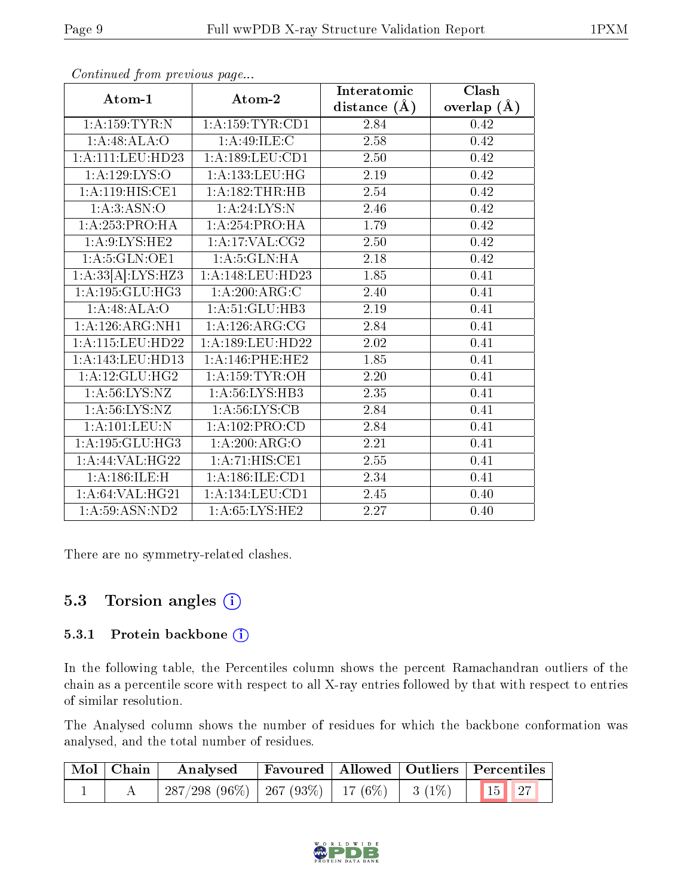|                                   |                               | Interatomic    | Clash         |
|-----------------------------------|-------------------------------|----------------|---------------|
| Atom-1                            | Atom-2                        | distance $(A)$ | overlap $(A)$ |
| 1:A:159:TYR:N                     | 1: A: 159: TYR: CD1           | 2.84           | 0.42          |
| 1:A:48:ALA:O                      | 1:A:49:ILE:C                  | 2.58           | 0.42          |
| 1: A: 111: LEU: HD23              | 1: A: 189: LEU: CD1           | 2.50           | 0.42          |
| 1:A:129:LYS:O                     | 1: A: 133: LEU: HG            | 2.19           | 0.42          |
| 1:A:119:HIS:CE1                   | 1:A:182:THR:HB                | 2.54           | 0.42          |
| 1: A:3: ASN:O                     | 1: A:24:LYS:N                 | 2.46           | 0.42          |
| 1:A:253:PRO:HA                    | 1:A:254:PRO:HA                | 1.79           | 0.42          |
| 1: A:9: LYS: HE2                  | $1:A:17:VAL: \overline{CG2}$  | 2.50           | 0.42          |
| 1: A:5: GLN:OE1                   | 1: A:5: GLN: HA               | 2.18           | 0.42          |
| 1:A:33[A]:LYS:HZ3                 | 1:A:148:LEU:HD23              | 1.85           | 0.41          |
| 1:A:195:GLU:HG3                   | 1:A:200:ARG:C                 | 2.40           | 0.41          |
| 1:A:48:ALA:O                      | 1:A:51:GLU:HB3                | 2.19           | 0.41          |
| 1:A:126:ARG:NH1                   | 1:A:126:ARG:CG                | 2.84           | 0.41          |
| 1:A:115:LEU:HD22                  | 1: A: 189: LEU: HD22          | 2.02           | 0.41          |
| 1: A:143:LEU:HD13                 | 1:A:146:PHE:HE2               | 1.85           | 0.41          |
| 1: A:12: GLU:HG2                  | 1: A: 159: TYR: OH            | 2.20           | 0.41          |
| 1: A:56: LYS: NZ                  | 1: A:56: L <sub>YS:H</sub> B3 | 2.35           | 0.41          |
| 1: A:56: LYS: NZ                  | 1: A:56: LYS: CB              | 2.84           | 0.41          |
| $1:A:101:\overline{\text{LEU:N}}$ | 1:A:102:PRO:CD                | 2.84           | 0.41          |
| 1: A: 195: GLU: HG3               | 1:A:200:ARG:O                 | 2.21           | 0.41          |
| $1:$ A:44:VAL:HG22                | 1: A:71: HIS: CE1             | 2.55           | 0.41          |
| 1:A:186:ILE:H                     | 1: A: 186: ILE: CD1           | 2.34           | 0.41          |
| 1: A:64: VAL:HG21                 | 1: A: 134: LEU: CD1           | 2.45           | 0.40          |
| 1:A:59:ASN:ND2                    | 1: A:65: LYS: HE2             | 2.27           | 0.40          |

Continued from previous page...

There are no symmetry-related clashes.

### 5.3 Torsion angles (i)

#### 5.3.1 Protein backbone (i)

In the following table, the Percentiles column shows the percent Ramachandran outliers of the chain as a percentile score with respect to all X-ray entries followed by that with respect to entries of similar resolution.

The Analysed column shows the number of residues for which the backbone conformation was analysed, and the total number of residues.

|  | $\boxed{\text{Mol}}$ Chain Analysed                                             | Favoured   Allowed   Outliers   Percentiles |  |  |  |
|--|---------------------------------------------------------------------------------|---------------------------------------------|--|--|--|
|  | $\mid$ 287/298 (96%) $\mid$ 267 (93%) $\mid$ 17 (6%) $\mid$ 3 (1%) $\mid$ 15 27 |                                             |  |  |  |

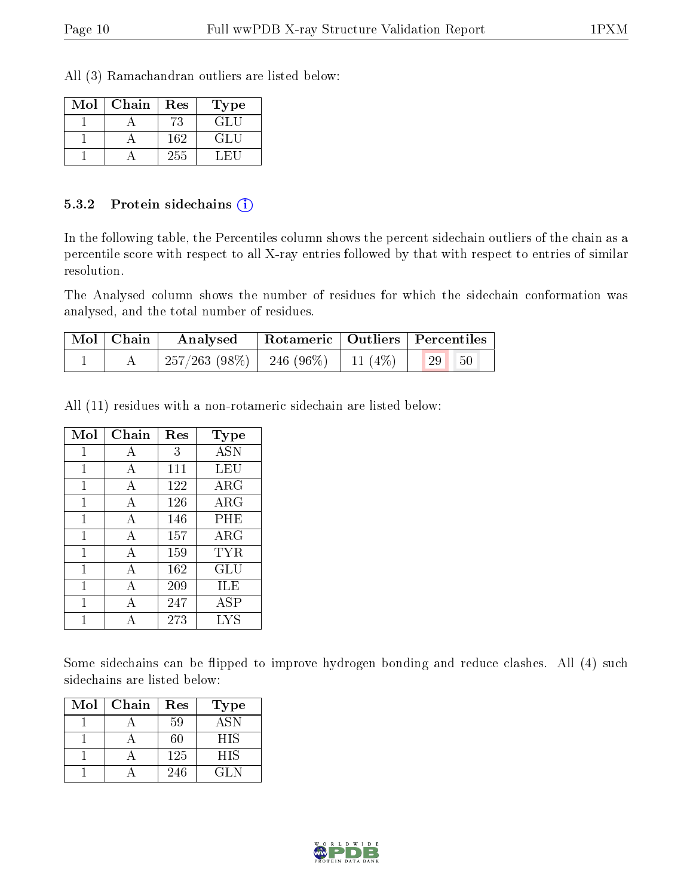All (3) Ramachandran outliers are listed below:

| Mol | Chain | Res | ${\bf Type}$ |
|-----|-------|-----|--------------|
|     |       | 73  | GL L         |
|     |       | 162 | GLI.         |
|     |       | 255 |              |

#### 5.3.2 Protein sidechains (i)

In the following table, the Percentiles column shows the percent sidechain outliers of the chain as a percentile score with respect to all X-ray entries followed by that with respect to entries of similar resolution.

The Analysed column shows the number of residues for which the sidechain conformation was analysed, and the total number of residues.

| Mol   Chain | Analysed                                 |  | Rotameric   Outliers   Percentiles |  |
|-------------|------------------------------------------|--|------------------------------------|--|
|             | $257/263$ (98\%)   246 (96\%)   11 (4\%) |  | 29 <br>50                          |  |

All (11) residues with a non-rotameric sidechain are listed below:

| Mol | Chain | Res | <b>Type</b> |
|-----|-------|-----|-------------|
| 1   | А     | 3   | <b>ASN</b>  |
| 1   | А     | 111 | LEU         |
| 1   | А     | 122 | $\rm{ARG}$  |
| 1   | А     | 126 | ARG         |
| 1   | А     | 146 | PHE         |
| 1   | А     | 157 | $\rm{ARG}$  |
| 1   | А     | 159 | TYR         |
| 1   | A     | 162 | GLU         |
| 1   | А     | 209 | ILE         |
| 1   | A     | 247 | ASP         |
|     | А     | 273 | LYS         |

Some sidechains can be flipped to improve hydrogen bonding and reduce clashes. All (4) such sidechains are listed below:

| Mol | Chain | Res | <b>Type</b> |
|-----|-------|-----|-------------|
|     |       | 59  | <b>ASN</b>  |
|     |       | 60  | <b>HIS</b>  |
|     |       | 125 | HIS         |
|     |       | 246 | CL N        |

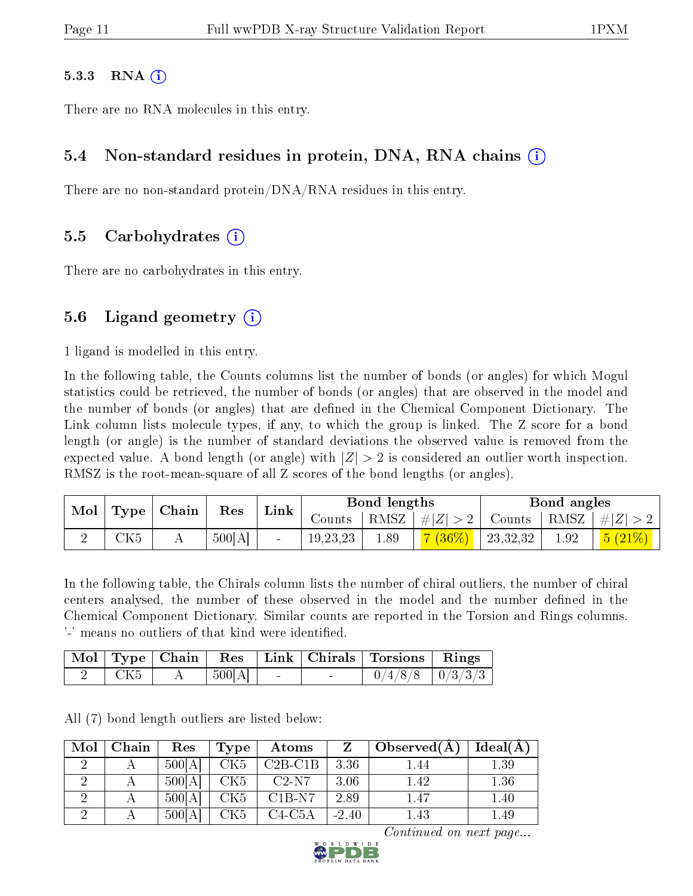#### $5.3.3$  RNA  $(i)$

There are no RNA molecules in this entry.

#### 5.4 Non-standard residues in protein, DNA, RNA chains (i)

There are no non-standard protein/DNA/RNA residues in this entry.

#### 5.5 Carbohydrates (i)

There are no carbohydrates in this entry.

#### 5.6 Ligand geometry  $(i)$

1 ligand is modelled in this entry.

In the following table, the Counts columns list the number of bonds (or angles) for which Mogul statistics could be retrieved, the number of bonds (or angles) that are observed in the model and the number of bonds (or angles) that are defined in the Chemical Component Dictionary. The Link column lists molecule types, if any, to which the group is linked. The Z score for a bond length (or angle) is the number of standard deviations the observed value is removed from the expected value. A bond length (or angle) with  $|Z| > 2$  is considered an outlier worth inspection. RMSZ is the root-mean-square of all Z scores of the bond lengths (or angles).

| $\bf{Mol}$ | Type        | Chain                  | Res    | Link |            | Bond lengths |         |            | Bond angles |        |
|------------|-------------|------------------------|--------|------|------------|--------------|---------|------------|-------------|--------|
|            |             |                        | Counts | RMSZ | $+ Z  > 1$ | Counts -     | RMSZ    | $\# Z $    |             |        |
|            | ${\rm CK5}$ | $\mathbf{\mathcal{L}}$ | 500[A] |      | 19, 23, 23 | 1.89         | $(36\%$ | 23, 32, 32 | 1.92        | 5(21%) |

In the following table, the Chirals column lists the number of chiral outliers, the number of chiral centers analysed, the number of these observed in the model and the number defined in the Chemical Component Dictionary. Similar counts are reported in the Torsion and Rings columns. '-' means no outliers of that kind were identified.

|     |        |  | Mol   Type   Chain   Res   Link   Chirals   Torsions   Rings |  |
|-----|--------|--|--------------------------------------------------------------|--|
| CK5 | 500[A] |  | $0/4/8/8$   $0/3/3/3$                                        |  |

All (7) bond length outliers are listed below:

| Mol | Chain | Res    | Type            | Atoms     |         | Observed $(A)$ | Ideal(A) |
|-----|-------|--------|-----------------|-----------|---------|----------------|----------|
|     |       | 500[A] | CK5             | $C2B-C1B$ | 3.36    | 1.44           | 1.39     |
|     |       | 500[A] | CK5             | $C2-N7$   | 3.06    | 1.42           | 1.36     |
|     |       | 500[A] | CK <sub>5</sub> | $C1B-N7$  | 2.89    | 1.47           | 1.40     |
|     |       | 500[A] | CK5             | $C4-C5A$  | $-2.40$ | 1.43           | 1.49     |

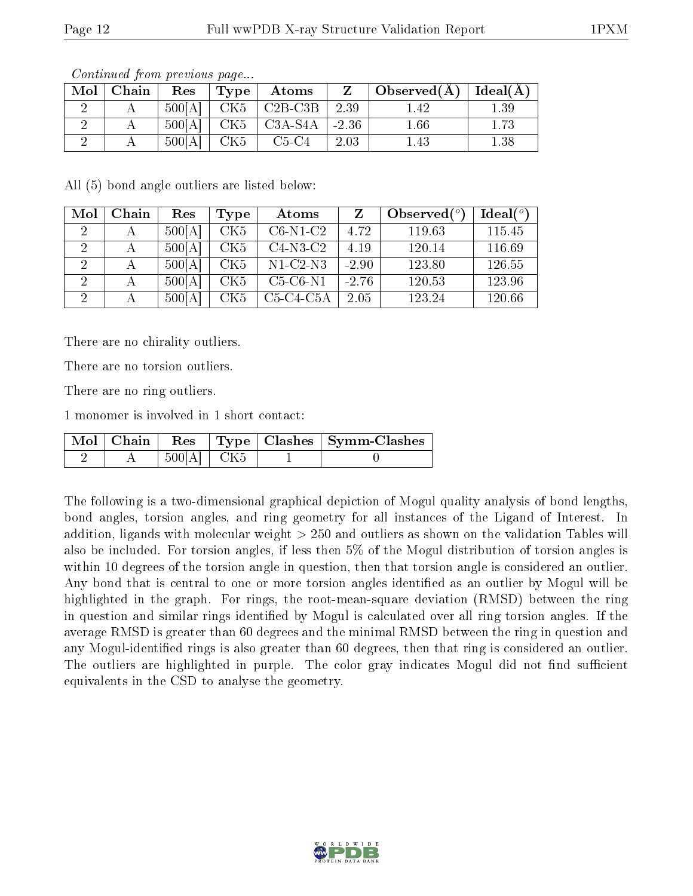| $Mol$   Chain | Res    | Type | Atoms                                     |      | $\Box$ Observed $(A) \parallel$ | $\vert$ Ideal( ${\rm \AA}$ ) |
|---------------|--------|------|-------------------------------------------|------|---------------------------------|------------------------------|
|               | 500[A] | CK5  | $\vert$ C <sub>2</sub> B-C <sub>3</sub> B | 2.39 | 1.42                            | $1.39\,$                     |
|               | 500[A] | CK5  | $\vert$ C3A-S4A $\vert$ -2.36             |      | $1.66\,$                        | 1.73                         |
|               | 500[A] | CK5  | $C5-C4$                                   | 2.03 | 1.45                            | 1.38                         |

Continued from previous page...

All (5) bond angle outliers are listed below:

| Mol | Chain | Res    | Type            | Atoms       |         | Observed $(°)$ | Ideal $(°)$ |
|-----|-------|--------|-----------------|-------------|---------|----------------|-------------|
|     | А     | 500[A] | CK5             | $C6-N1-C2$  | 4.72    | 119.63         | 115.45      |
|     | А     | 500[A] | CK <sub>5</sub> | $C4-N3-C2$  | 4.19    | 120.14         | 116.69      |
|     | А     | 500[A] | CK5             | $N1-C2-N3$  | $-2.90$ | 123.80         | 126.55      |
|     | А     | 500[A] | CK5             | $C5-C6-N1$  | $-2.76$ | 120.53         | 123.96      |
|     | А     | 500[A] | CK <sub>5</sub> | $C5-C4-C5A$ | 2.05    | 123.24         | 120.66      |

There are no chirality outliers.

There are no torsion outliers.

There are no ring outliers.

1 monomer is involved in 1 short contact:

|  |                |  | Mol   Chain   Res   Type   Clashes   Symm-Clashes |
|--|----------------|--|---------------------------------------------------|
|  | $500[A]$   CK5 |  |                                                   |

The following is a two-dimensional graphical depiction of Mogul quality analysis of bond lengths, bond angles, torsion angles, and ring geometry for all instances of the Ligand of Interest. In addition, ligands with molecular weight > 250 and outliers as shown on the validation Tables will also be included. For torsion angles, if less then 5% of the Mogul distribution of torsion angles is within 10 degrees of the torsion angle in question, then that torsion angle is considered an outlier. Any bond that is central to one or more torsion angles identified as an outlier by Mogul will be highlighted in the graph. For rings, the root-mean-square deviation (RMSD) between the ring in question and similar rings identified by Mogul is calculated over all ring torsion angles. If the average RMSD is greater than 60 degrees and the minimal RMSD between the ring in question and any Mogul-identified rings is also greater than 60 degrees, then that ring is considered an outlier. The outliers are highlighted in purple. The color gray indicates Mogul did not find sufficient equivalents in the CSD to analyse the geometry.

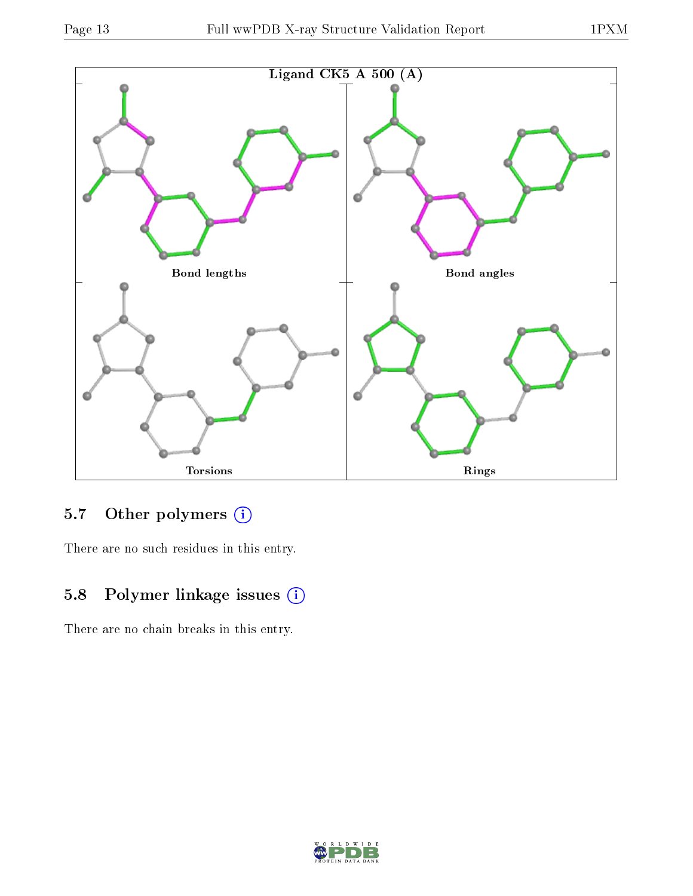

## 5.7 [O](https://www.wwpdb.org/validation/2017/XrayValidationReportHelp#nonstandard_residues_and_ligands)ther polymers (i)

There are no such residues in this entry.

## 5.8 Polymer linkage issues (i)

There are no chain breaks in this entry.

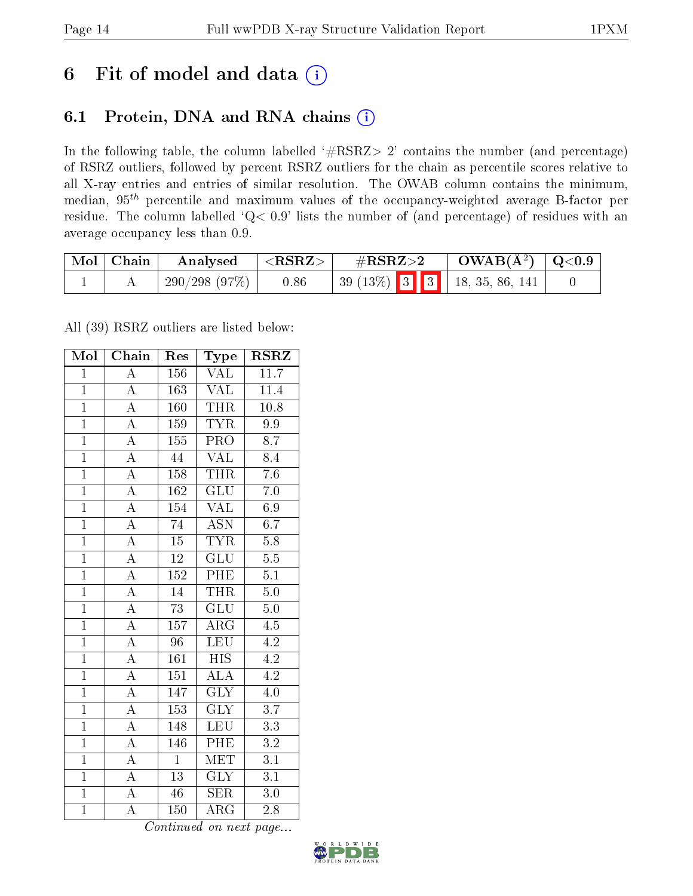## 6 Fit of model and data  $(i)$

### 6.1 Protein, DNA and RNA chains  $(i)$

In the following table, the column labelled  $#RSRZ> 2'$  contains the number (and percentage) of RSRZ outliers, followed by percent RSRZ outliers for the chain as percentile scores relative to all X-ray entries and entries of similar resolution. The OWAB column contains the minimum, median,  $95<sup>th</sup>$  percentile and maximum values of the occupancy-weighted average B-factor per residue. The column labelled ' $Q< 0.9$ ' lists the number of (and percentage) of residues with an average occupancy less than 0.9.

| Mol   Chain | Analysed     | $<$ RSRZ $>$ | $\rm \#RSRZ{>}2$ |  | $\rm OWAB(\AA^2)$   Q<0.9 |                                             |  |
|-------------|--------------|--------------|------------------|--|---------------------------|---------------------------------------------|--|
|             | 290/298(97%) | $_{0.86}$    |                  |  |                           | $\vert$ 39 (13\%) 3 3 4 3 4 18, 35, 86, 141 |  |

All (39) RSRZ outliers are listed below:

| Mol            | Chain                   | Res              | Type                      | <b>RSRZ</b>       |
|----------------|-------------------------|------------------|---------------------------|-------------------|
| $\overline{1}$ | $\overline{\rm A}$      | 156              | <b>VAL</b>                | $\overline{11.7}$ |
| $\overline{1}$ | $\overline{A}$          | 163              | <b>VAL</b>                | 11.4              |
| $\overline{1}$ | $\overline{\rm A}$      | 160              | <b>THR</b>                | $\overline{10.8}$ |
| $\overline{1}$ | $\overline{\rm A}$      | 159              | <b>TYR</b>                | 9.9               |
| $\overline{1}$ | $\overline{A}$          | $\overline{155}$ | $\overline{\text{PRO}}$   | $\overline{8.7}$  |
| $\overline{1}$ | $\overline{\rm A}$      | 44               | <b>VAL</b>                | 8.4               |
| $\overline{1}$ | $\overline{\rm A}$      | 158              | <b>THR</b>                | $\overline{7.6}$  |
| $\overline{1}$ | $\overline{\rm A}$      | 162              | GLU                       | $\overline{7.0}$  |
| $\overline{1}$ | $\overline{\rm A}$      | 154              | <b>VAL</b>                | 6.9               |
| $\overline{1}$ | $\overline{A}$          | $\overline{74}$  | $\overline{ASN}$          | 6.7               |
| $\overline{1}$ | $\overline{\rm A}$      | $\overline{15}$  | <b>TYR</b>                | $\overline{5.8}$  |
| $\overline{1}$ | $\overline{A}$          | $\overline{12}$  | $\overline{\text{GLU}}$   | $\overline{5.5}$  |
| $\overline{1}$ | $\overline{A}$          | $\overline{152}$ | PHE                       | $\overline{5.1}$  |
| $\overline{1}$ | $\overline{\rm A}$      | 14               | <b>THR</b>                | $\overline{5.0}$  |
| $\overline{1}$ | $\overline{A}$          | $\overline{73}$  | $\overline{\mathrm{GLU}}$ | $\overline{5.0}$  |
| $\overline{1}$ | $\overline{\rm A}$      | 157              | $AR\overline{G}$          | $\overline{4.5}$  |
| $\overline{1}$ | $\overline{\rm A}$      | $\overline{96}$  | <b>LEU</b>                | $\overline{4.2}$  |
| $\overline{1}$ | $\overline{\rm A}$      | 161              | <b>HIS</b>                | 4.2               |
| $\overline{1}$ | $\overline{\rm A}$      | 151              | ALA                       | $\overline{4.2}$  |
| $\overline{1}$ | $\overline{\rm A}$      | 147              | $\overline{\mathrm{GLY}}$ | 4.0               |
| $\overline{1}$ | $\overline{A}$          | 153              | $\overline{\text{GLY}}$   | $\overline{3.7}$  |
| $\overline{1}$ | $\overline{\rm A}$      | 148              | <b>LEU</b>                | $\overline{3.3}$  |
| $\mathbf{1}$   | $\overline{\rm A}$      | 146              | $\overline{\rm PHE}$      | $\!3.2\!$         |
| $\overline{1}$ | $\overline{\rm A}$      | $\overline{1}$   | $\overline{\text{MET}}$   | $\overline{3.1}$  |
| $\overline{1}$ | $\overline{\mathbf{A}}$ | $\overline{13}$  | $\overline{\text{GLY}}$   | $\overline{3.1}$  |
| $\overline{1}$ | $\overline{\rm A}$      | 46               | <b>SER</b>                | $3.0\,$           |
| $\overline{1}$ | $\overline{\rm A}$      | 150              | $\overline{\rm{ARG}}$     | 2.8               |

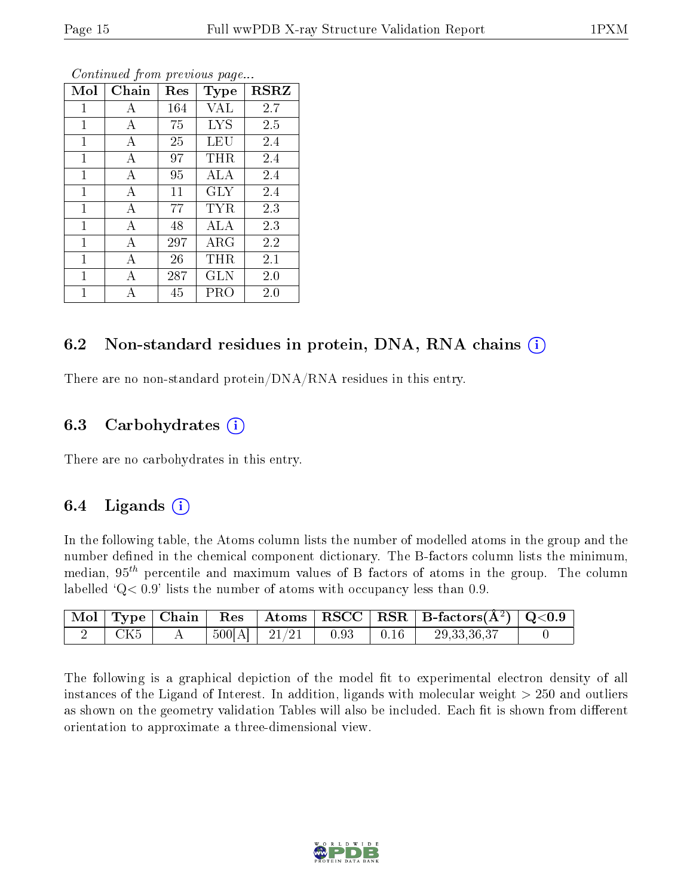| Mol          | Chain | $\operatorname{Res}% \left( \mathcal{N}\right) \equiv\operatorname{Res}(\mathcal{N}_{0})\cap\mathcal{N}_{1}$<br>Type |            | <b>RSRZ</b> |
|--------------|-------|----------------------------------------------------------------------------------------------------------------------|------------|-------------|
| 1            | А     | 164                                                                                                                  | VAL        | 2.7         |
| 1            | А     | 75                                                                                                                   | <b>LYS</b> | 2.5         |
| 1            | А     | 25                                                                                                                   | LEU        | 2.4         |
| 1            | А     | 97                                                                                                                   | THR        | 2.4         |
| 1            | A     | 95                                                                                                                   | ALA        | 2.4         |
| $\mathbf{1}$ | A     | 11                                                                                                                   | GLY        | 2.4         |
| 1            | А     | 77                                                                                                                   | TYR        | 2.3         |
| 1            | А     | 48                                                                                                                   | ALA        | 2.3         |
| 1            | А     | 297                                                                                                                  | ARG        | 2.2         |
| 1            | А     | 26                                                                                                                   | THR        | 2.1         |
| 1            | А     | 287                                                                                                                  | <b>GLN</b> | 2.0         |
| 1            | Δ     | 45                                                                                                                   | PRO        | 2.0         |

Continued from previous page...

### 6.2 Non-standard residues in protein, DNA, RNA chains  $(i)$

There are no non-standard protein/DNA/RNA residues in this entry.

#### 6.3 Carbohydrates  $(i)$

There are no carbohydrates in this entry.

### 6.4 Ligands  $(i)$

In the following table, the Atoms column lists the number of modelled atoms in the group and the number defined in the chemical component dictionary. The B-factors column lists the minimum, median,  $95<sup>th</sup>$  percentile and maximum values of B factors of atoms in the group. The column labelled  $Q< 0.9$ ' lists the number of atoms with occupancy less than 0.9.

|                 |  |                         |                  | $\mid$ Mol $\mid$ Type $\mid$ Chain $\mid$ Res $\mid$ Atoms $\mid$ RSCC $\mid$ RSR $\mid$ B-factors(A <sup>2</sup> ) $\mid$ Q<0.9 $\mid$ |  |
|-----------------|--|-------------------------|------------------|------------------------------------------------------------------------------------------------------------------------------------------|--|
| CK <sub>5</sub> |  | $500[A]$   21/21   0.93 | $\parallel$ 0.16 | 29, 33, 36, 37                                                                                                                           |  |

The following is a graphical depiction of the model fit to experimental electron density of all instances of the Ligand of Interest. In addition, ligands with molecular weight  $> 250$  and outliers as shown on the geometry validation Tables will also be included. Each fit is shown from different orientation to approximate a three-dimensional view.